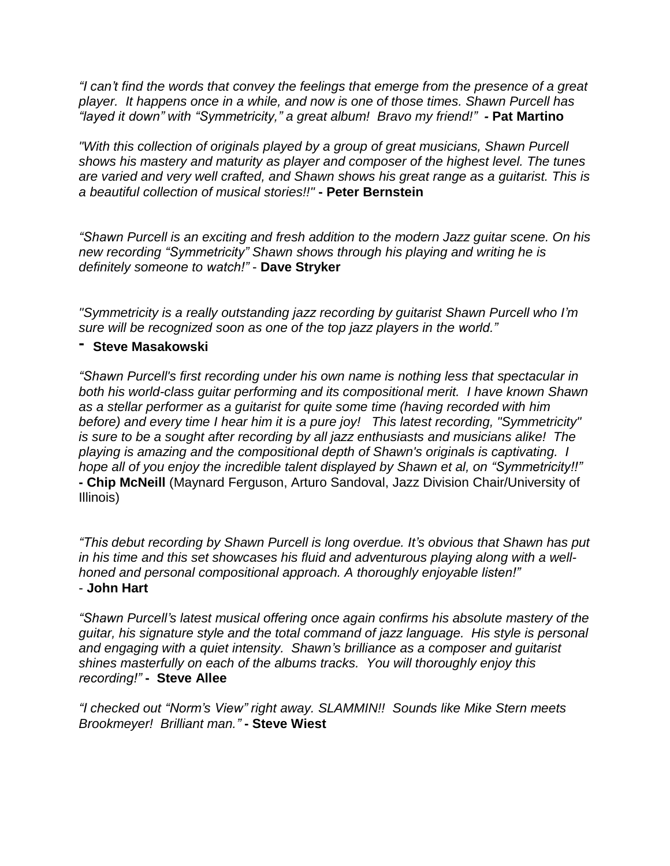*"I can't find the words that convey the feelings that emerge from the presence of a great player. It happens once in a while, and now is one of those times. Shawn Purcell has "layed it down" with "Symmetricity," a great album! Bravo my friend!" -* **Pat Martino**

*"With this collection of originals played by a group of great musicians, Shawn Purcell shows his mastery and maturity as player and composer of the highest level. The tunes are varied and very well crafted, and Shawn shows his great range as a guitarist. This is a beautiful collection of musical stories!!"* **- Peter Bernstein**

*"Shawn Purcell is an exciting and fresh addition to the modern Jazz guitar scene. On his new recording "Symmetricity" Shawn shows through his playing and writing he is definitely someone to watch!"* - **Dave Stryker**

*"Symmetricity is a really outstanding jazz recording by guitarist Shawn Purcell who I'm sure will be recognized soon as one of the top jazz players in the world."*

## **- Steve Masakowski**

*"Shawn Purcell's first recording under his own name is nothing less that spectacular in both his world-class guitar performing and its compositional merit. I have known Shawn as a stellar performer as a guitarist for quite some time (having recorded with him before) and every time I hear him it is a pure joy! This latest recording, "Symmetricity" is sure to be a sought after recording by all jazz enthusiasts and musicians alike! The playing is amazing and the compositional depth of Shawn's originals is captivating. I hope all of you enjoy the incredible talent displayed by Shawn et al, on "Symmetricity!!"* **- Chip McNeill** (Maynard Ferguson, Arturo Sandoval, Jazz Division Chair/University of Illinois)

*"This debut recording by Shawn Purcell is long overdue. It's obvious that Shawn has put in his time and this set showcases his fluid and adventurous playing along with a wellhoned and personal compositional approach. A thoroughly enjoyable listen!"* - **John Hart**

*"Shawn Purcell's latest musical offering once again confirms his absolute mastery of the guitar, his signature style and the total command of jazz language. His style is personal and engaging with a quiet intensity. Shawn's brilliance as a composer and guitarist shines masterfully on each of the albums tracks. You will thoroughly enjoy this recording!"* **- Steve Allee**

*"I checked out "Norm's View" right away. SLAMMIN!! Sounds like Mike Stern meets Brookmeyer! Brilliant man."* **- Steve Wiest**